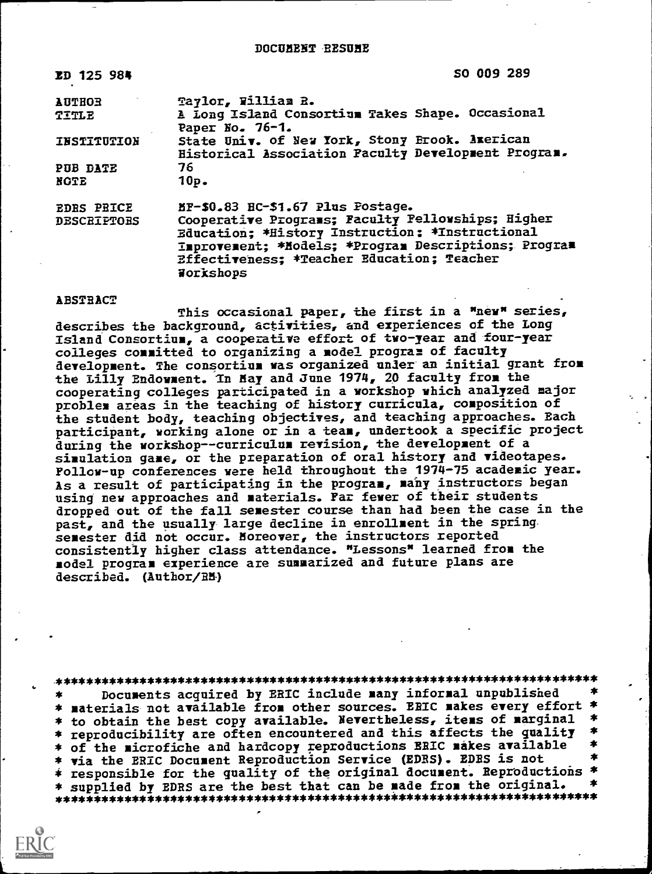#### DOCUMENT RESUME

| ED 125 984         | SO 009 289                                                                                            |
|--------------------|-------------------------------------------------------------------------------------------------------|
| <b>AUTHOR</b>      | Taylor, William R.                                                                                    |
| <b>TITLE</b>       | A Long Island Consortium Takes Shape. Occasional<br>Paper No. 76-1.                                   |
| <b>INSTITUTION</b> | State Univ. of New York, Stony Brook. Axerican<br>Historical Association Paculty Development Program. |
| PUB DATE           | 76                                                                                                    |
| NOTE               | 10p.                                                                                                  |
| <b>EDRS PRICE</b>  | KF-\$0.83 HC-\$1.67 Plus Postage.                                                                     |
| <b>DESCRIPTORS</b> | Cooperative Programs; Faculty Fellowships; Higher                                                     |
|                    | Education; *History Instruction; *Instructional                                                       |
|                    | Improvement; *Hodels; *Program Descriptions; Program                                                  |
|                    | Effectiveness; *Teacher Education; Teacher                                                            |
|                    | <b>Forkshops</b>                                                                                      |

#### ABSTRACT

This occasional paper, the first in a "new" series, describes the background, activities, and experiences of the Long Island Consortium, a cooperative effort of two-year and four-year colleges committed to organizing a model program of faculty development. The consortium was organized under an initial grant from the Lilly Endowment. In May and June 1974, 20 faculty from the cooperating colleges participated in a workshop which analyzed major problem areas in the teaching of history curricula, composition of the student body, teaching objectives, and teaching approaches. Each participant, working alone or in a team, undertook a specific project during the workshop--curriculum revision, the development of a simulation game, or the preparation of oral history and videotapes. Follow-up conferences were held throughout the 1974-75 acaderic year. As a result of participating in the program, many instructors began using new approaches and materials. Par fewer of their students dropped out of the fall semester course than had been the case in the past, and the usually large decline in enrollnent in the spring. semester did not occur. Moreover, the instructors reported consistently higher class attendance. "Lessons" learned from the model program experience are summarized and future plans are described. (Author/RM)

Documents acquired by ERIC include many informal unpublished  $\bullet$ \* materials not available from other sources. ERIC makes every effort \* \* to obtain the best copy available. Nevertheless, items of marginal  $\star$ \* reproducibility are often encountered and this affects the quality \* of the microfiche and hardcopy reproductions ERIC makes available  $\ast$ \* via the ERIC Document Reproduction Service (EDRS). EDRS is not \* \* responsible for the quality of the original document. Reproductions \* \* supplied by EDRS are the best that can be made from the original.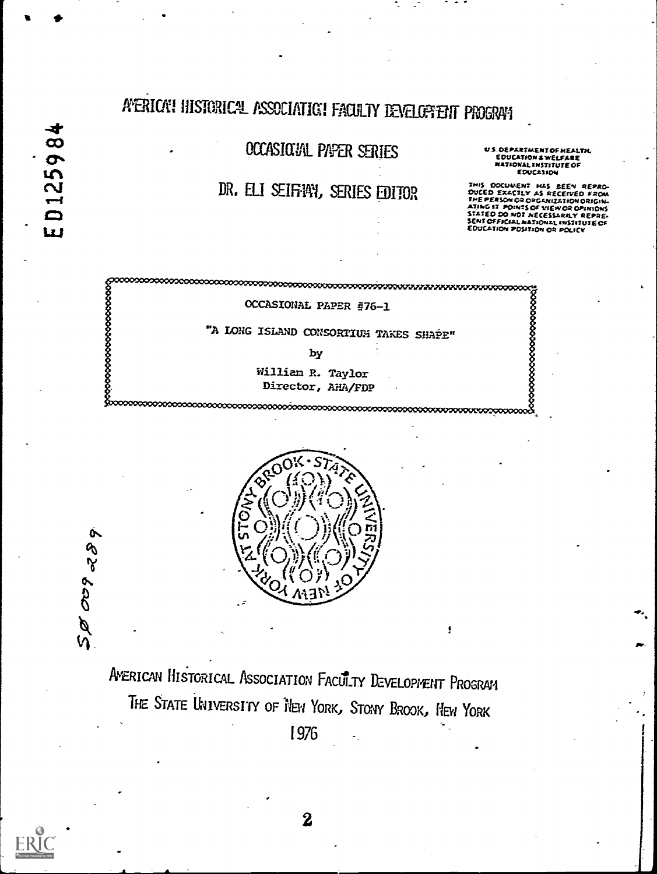# AVERICA! HISTORICAL ASSOCIATIGI FACULTY DEVELOPEDIT PROGRAM

OCCASIOUAL PAPER SERIES

DR. ELI SEIFIAN, SERIES EDITOR

U.S. DEPARTMENT OF HEALTH EDUCATION & WELFARE<br>EDUCATION & WELFARE<br>NATIONAL INSTITUTE OF

DOCUMENT HAS BEEN REFRO-<br>D'EXACTLY AS RECEIVED FROM E PERSON OR ORGANIZATION ORIGIN-<br>ING 17 POINTS OF TIEW OR OPINIONS STATED DO NOT NECESSARILY REPRESENTATION OR POLICY<br>SENT OFFICIAL NATIONAL INSTITUTE OF<br>EDUCATION POSITION OR POLICY

ಬಂಬಂಬಂಬಂಬಂಬಂಬಂ OCCASIONAL PAPER #76-1 "A LONG ISLAND CONSORTIUM TAKES SHAPE" by William R. Taylor Director, AHA/FDP



AMERICAN HISTORICAL ASSOCIATION FACULTY DEVELOPMENT PROGRAM THE STATE UNIVERSITY OF NEW YORK, STONY BROOK, NEW YORK 1976

ŧ

SØ 00928

 $\bf{2}$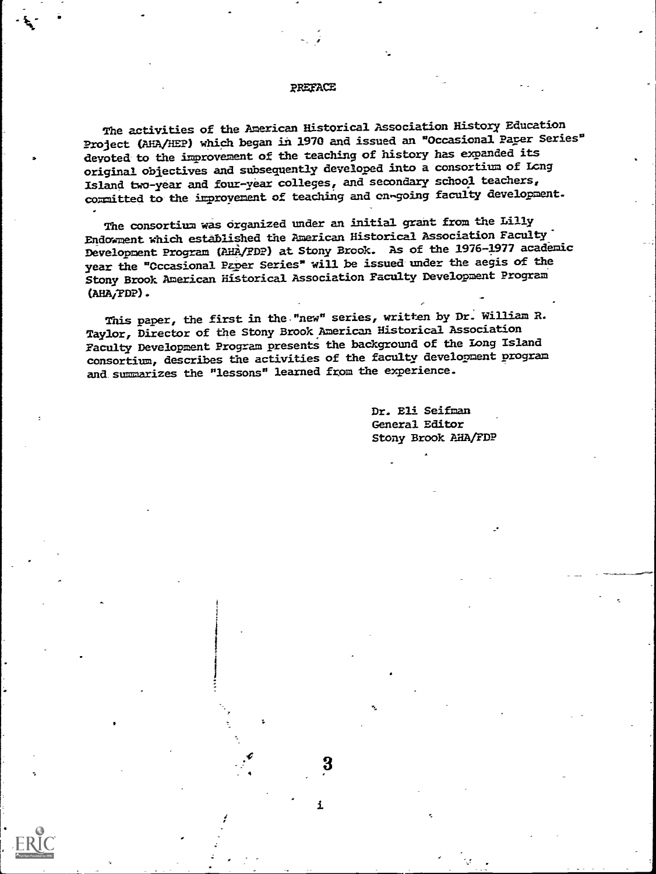#### PREFACE

The activities of the American Historical Association History Education Project (AHA/HEP) which began in 1970 and issued an "Occasional Paper Series" devoted to the improvement of the teaching of history has expanded its original objectives and subsequently developed into a consortium of Lcng Island two-year and four-year colleges, and secondary school teachers, committed to the improvement of teaching and on-going faculty development.

The consortium was organized under an initial grant from the Lilly Endowment which established the American Historical Association Faculty' Development Program UHA/FDP) at Stony Brook. As of the 1976-3977 academic year the "Occasional Paper Series" will be issued under the aegis of the Stony Brook American Historical Association Faculty Development Program (AHA/FDP).

This paper, the first in the "new" series, written by Dr. William R. Taylor, Director of the Stony Brook American Historical Association Faculty Development Program presents the background of the Long Island consortium, describes the activities of the faculty development program and summarizes the "lessons" learned from the experience.

 $\mathbf{1}$ 

Dr. Eli Seifman General Editor Stony Brook AHA/FDP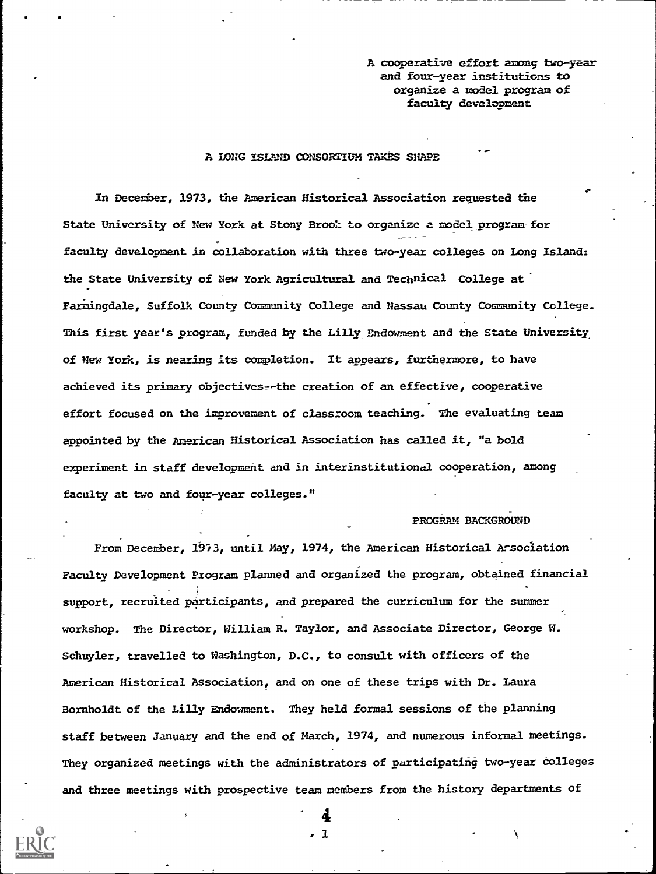A cooperative effort among two-year and four-year institutions to organize a model program of faculty development

#### A LONG ISLAND CONSORTIUM TAKES SHAPE

In December, 1973, the American Historical Association requested the State University of New York at Stony Brod: to organize a model program for faculty development in collaboration with three two-year colleges on Long Island: the State University of New York Agricultural and Technical College at Farmingdale, Suffolk County Community College and Nassau County Community College. This first year's program, funded by the Lilly Endowment and the State University of New York, is nearing its completion. It appears, furthermore, to have achieved its primary objectives--the creation of an effective, cooperative . effort focused on the improvement of classroom teaching. The evaluating team appointed by the American Historical Association has called it, "a bold experiment in staff development and in interinstitutional cooperation, among faculty at two and four-year colleges."

## PROGRAM BACKGROUND

From December, 1973, until May, 1974, the American Historical Arsociation Faculty Development Program planned and organized the program, obtained financial support, recruited participants, and prepared the curriculum for the summer workshop. The Director, William R. Taylor, and Associate Director, George W. Schuyler, travelled to Washington, D.C., to consult with officers of the American Historical Association, and on one of these trips with Dr. Laura Bornholdt of the Lilly Endowment. They held formal sessions of the planning staff between January and the end of March, 1974, and numerous informal meetings. They organized meetings with the administrators of participating two-year colleges and three meetings with prospective team members from the history departments of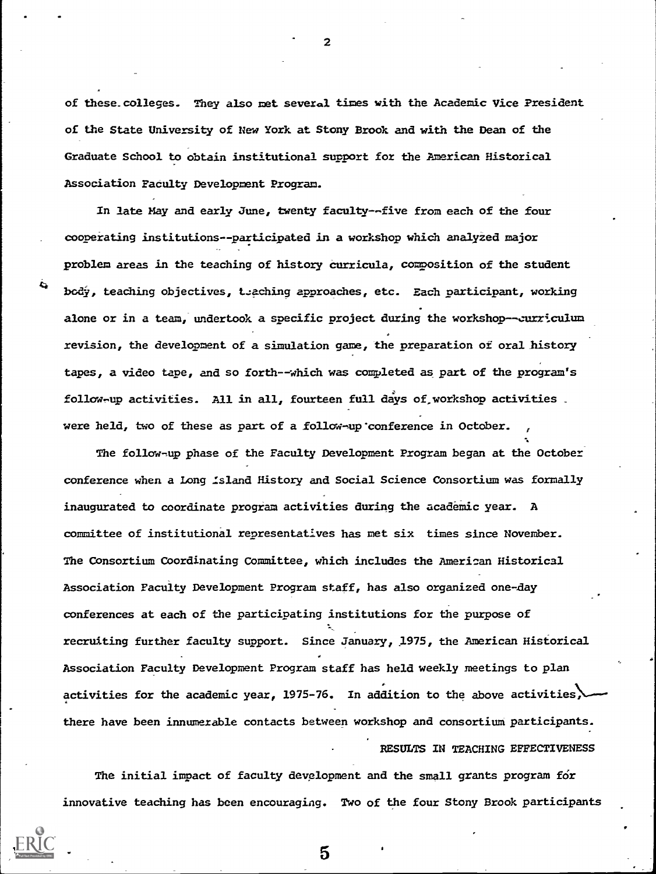of these colleges. They also met several times with the Academic Vice President of the State University of New York at Stony Brook and with the Dean of the Graduate School to obtain institutional support for the American Historical Association Faculty Development Program.

In late May and early June, twenty faculty--five from each of the four cooperating institutions -- participated in a workshop which analyzed major problem areas in the teaching of history curricula, composition of the student body, teaching objectives, teaching approaches, etc. Each participant, working alone or in a team, undertook a specific project during the workshop--curriculum revision, the development of a simulation game, the preparation of oral history tapes, a video tape, and so forth--which was completed as part of the program's follow-up activities. All in all, fourteen full days of workshop activities. were held, two of these as part of a follow-up conference in October.

The follow-up phase of the Faculty Development Program began at the October conference when a Long Island History and Social Science Consortium was formally inaugurated to coordinate program activities during the academic year. A committee of institutional representatives has met six times since November. The Consortium Coordinating Committee, which includes the American Historical Association Faculty Development Program staff, has also organized one-day conferences at each of the participating institutions for the purpose of recruiting further faculty support. Since January, J975, the American Historical Association Faculty Development Program staff has held weekly meetings to plan activities for the academic year, 1975-76. In addition to the above activities, there have been innumerable contacts between workshop and consortium participants. RESULTS IN TEACHING EFFECTIVENESS

The initial impact of faculty development and the small grants program for innovative teaching has been encouraging. Two of the four Stony Brook participants

2

 $\mathbf 5$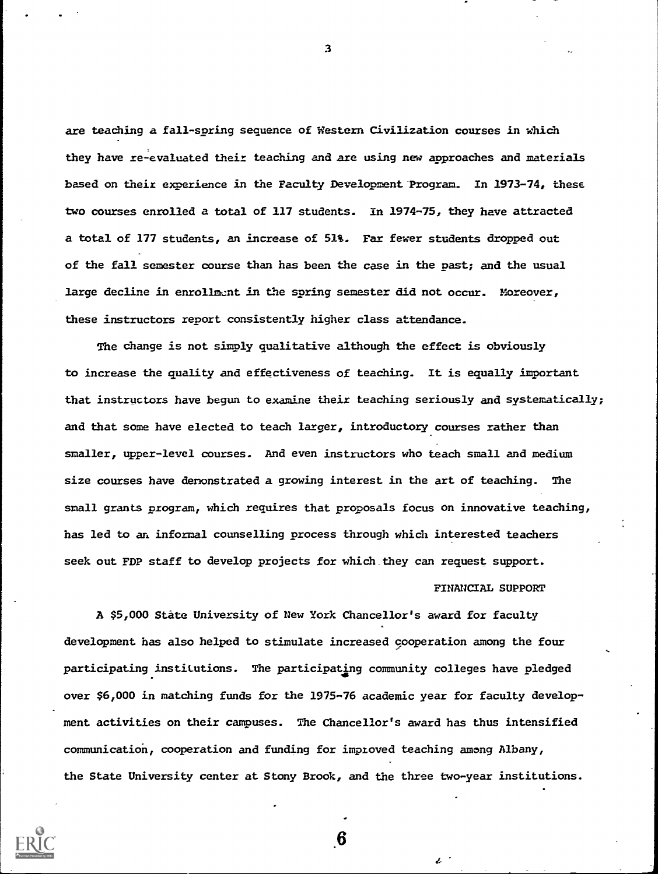are teaching a fall-spring sequence of Western Civilization courses in which they have re-evaluated their teaching and are using new approaches and materials based on their experience in the Faculty Development Program. In 1973-74, these two courses enrolled a total of 117 students. in 1974-75, they have attracted a total of 177 students, an increase of 51%. Fax fewer students dropped out of the fall semester course than has been the case in the past; and the usual large decline in enrollment in the spring semester did not occur. Moreover, these instructors report consistently higher class attendance.

The change is not simply qualitative although the effect is obviously to increase the quality and effectiveness of teaching. It is equally important that instructors have begun to examine their teaching seriously and systematically; and that some have elected to teach larger, introductory courses rather than smaller, upper-level courses. And even instructors who teach small and medium size courses have demonstrated a growing interest in the art of teaching. The small grants program, which requires that proposals focus on innovative teaching, has led to an informal counselling process through which interested teachers seek out FDP staff to develop projects for which they can request support.

## FINANCIAL SUPPORT

A \$5,000 State University of New York Chancellor's award for faculty development has also helped to stimulate increased cooperation among the four participating institutions. The participating community colleges have pledged over \$6,000 in matching funds for the 1975-76 academic year for faculty development activities on their campuses. The Chancellor's award has thus intensified communication, cooperation and funding for improved teaching among Albany, the State University center at Stony Brook, and the three two-year institutions.



3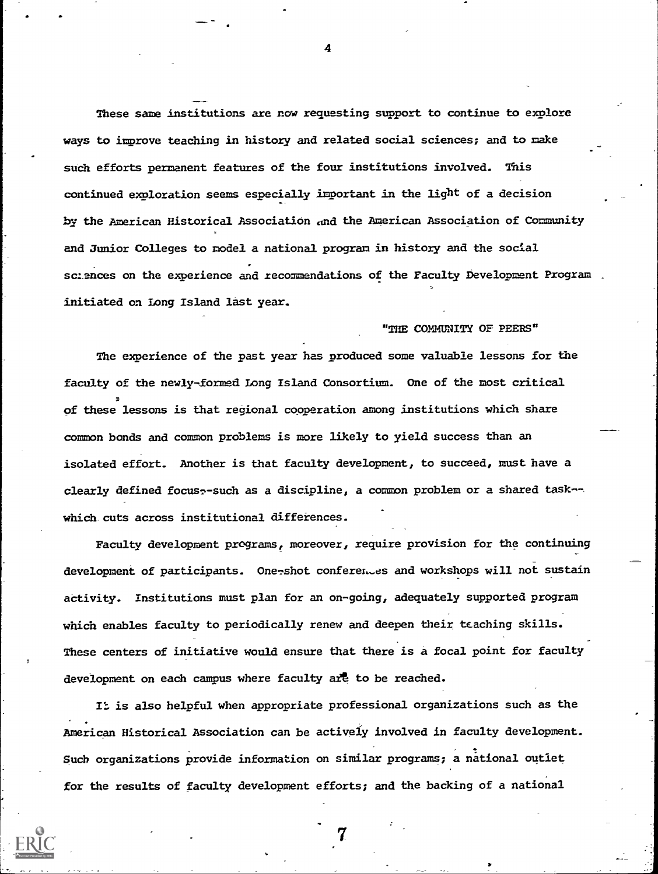These sane institutions are now requesting support to continue to explore ways to improve teaching in history and related social sciences; and to make such efforts permanent features of the four institutions involved. This continued exploration seems especially important in the light of a decision by the American Historical Association and the American Association of Community and Junior Colleges to model a national vrogram in history and the social sc:ences on the experience and recommendations of the Faculty Development Program initiated on Long Island last year.

"THE COMMUNITY OF PEERS"

The experience of the past year has produced some valuable lessons for the faculty of the newly-formed Long Island Consortium. One of the most critical of these lessons is that regional cooperation among institutions which share common bonds and common problems is more likely to yield success than an isolated effort. Another is that faculty development, to succeed, must have a clearly defined focus-such as a discipline, a common problem or a shared task-which cuts across institutional differences.

Faculty development programs, moreover, require provision for the continuing development of participants. Onetshot conferentes and workshops will not sustain activity. Institutions must plan for an on-going, adequately supported program which enables faculty to periodically renew and deepen their teaching skills. These centers of initiative would ensure that there is a focal point for faculty development on each campus where faculty are to be reached.

is also helpful when appropriate professional organizations such as the American Historical Association can be actively involved in faculty development. Such organizations provide information on similar programs; a national outlet for the results of faculty development efforts; and the backing of a national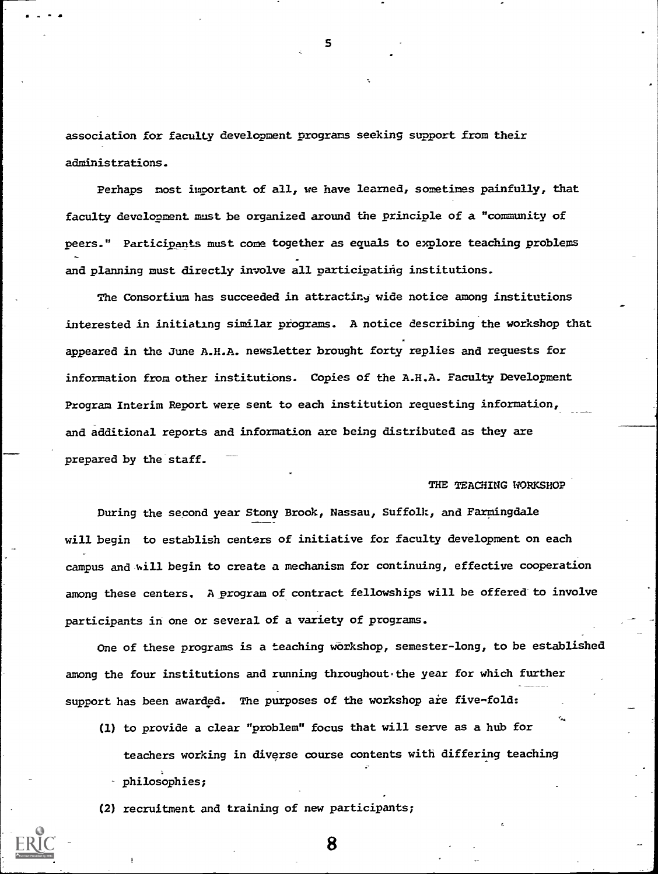association for faculty development Programs seeking support from their administrations.

Perhaps most important of all, we have learned, sometimes painfully, that faculty development must be organized around the principle of a "community of peers." Participants must come together as equals to explore teaching problems and planning must directly involve all participating institutions.

The Consortium has succeeded in attractiny wide notice among institutions interested in initiating similar programs. A notice describing the workshop that appeared in the June A.H.A. newsletter brought forty replies and requests for information from other institutions. Copies of the A.H.A. Faculty Development Program Interim Report were sent to each institution requesting information, and additional reports and information are being distributed as they are prepared by the staff.

## THE TEACHING WORKSHOP

During the second year Stony Brook, Nassau, Suffolk, and Farmingdale will begin to establish centers of initiative for faculty development on each campus and will begin to create a mechanism for continuing, effective cooperation among these centers. A program of contract fellowships will be offered to involve participants in one or several of a variety of programs.

One of these programs is a teaching workshop, semester-long, to be established among the four institutions and running throughout. the year for which further support has been awarded. The purposes of the workshop are five-fold:

(1) to provide a clear "problem" focus that will serve as a hub for teachers working in diverse course contents with differing teaching . philosophies;

8

(2) recruitment and training of new participants;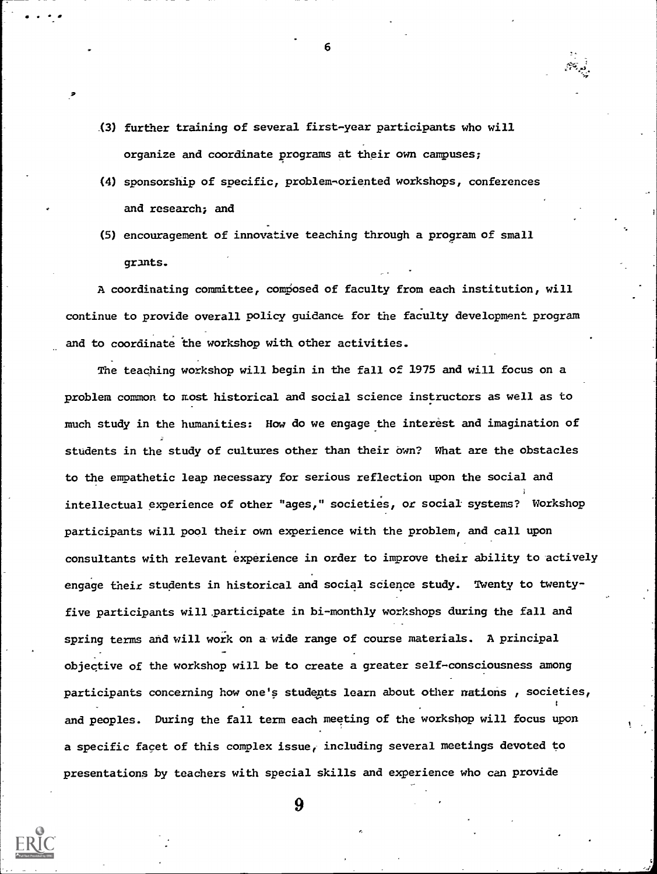- (3) further training of several first-year participants who will organize and coordinate programs at their own campuses;
- (4) sponsorship of specific, problem-oriented workshops, conferences and research; and

6

(5) encouragement of innovative teaching through a program of small grants.

A coordinating committee, composed of faculty from each institution, will continue to provide overall policy guidance for the faculty development program and to coordinate the workshop with other activities.

The teaching workshop will begin in the fall of 1975 and will focus on a problem common to most historical and social science instructors as well as to much study in the humanities: How do we engage the interest and imagination of students in the study of cultures other than their own? What are the obstacles to the empathetic leap necessary for serious reflection upon the social and intellectual experience of other "ages," societies, or social systems? Workshop participants will pool their own experience with the problem, and call upon consultants with relevant experience in order to improve their ability to actively engage their students in historical and social science study. Twenty to twentyfive participants will, participate in bi-monthly workshops during the fall and spring terms and will work on a- wide range of course materials. A principal objective of the workshop will be to create a greater self-consciousness among participants concerning how one's students learn about other nations , societies, and peoples. During the fall term each meeting of the workshop will focus upon a specific facet of this complex issue, including several meetings devoted to presentations by teachers with special skills and experience who can provide